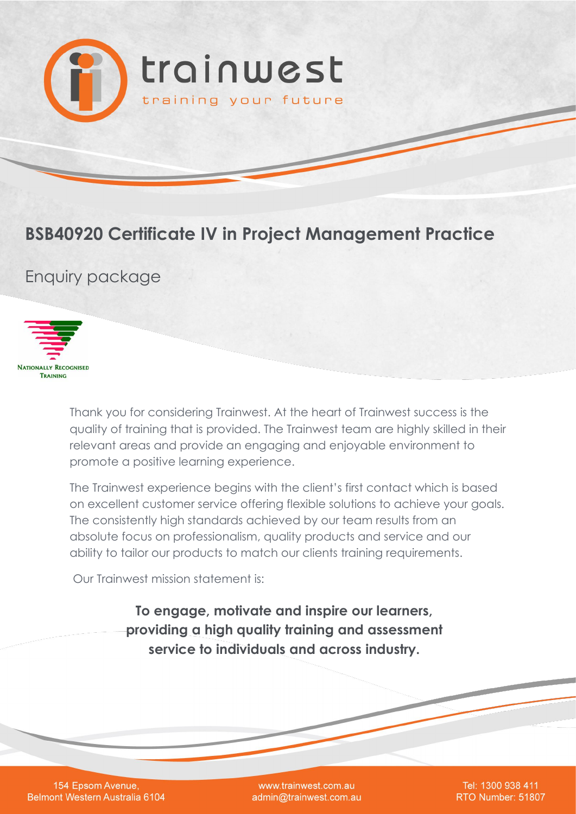

# **BSB40920 Certificate IV in Project Management Practice**

## Enquiry package



Thank you for considering Trainwest. At the heart of Trainwest success is the quality of training that is provided. The Trainwest team are highly skilled in their relevant areas and provide an engaging and enjoyable environment to promote a positive learning experience.

The Trainwest experience begins with the client's first contact which is based on excellent customer service offering flexible solutions to achieve your goals. The consistently high standards achieved by our team results from an absolute focus on professionalism, quality products and service and our ability to tailor our products to match our clients training requirements.

Our Trainwest mission statement is:

**To engage, motivate and inspire our learners, providing a high quality training and assessment service to individuals and across industry.**

154 Epsom Avenue, Belmont Western Australia 6104

www.trainwest.com.au admin@trainwest.com.au

Tel: 1300 938 411 RTO Number: 51807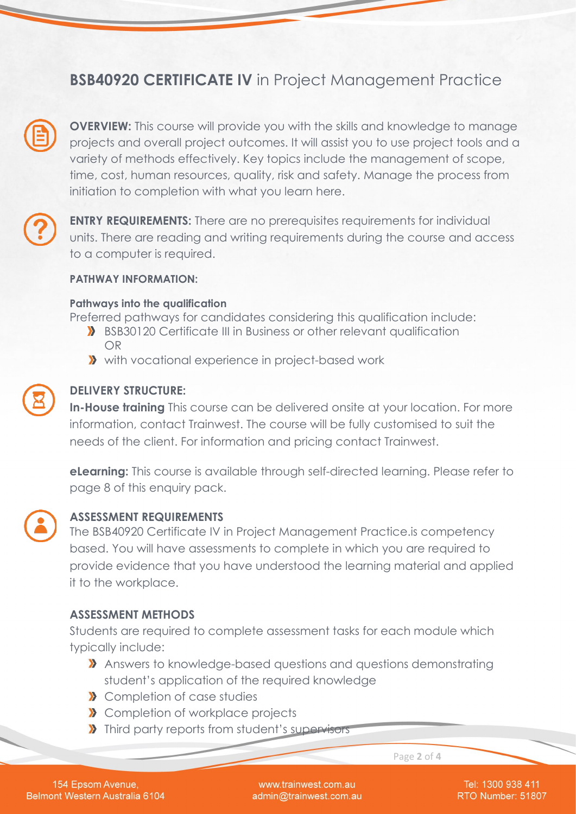## **BSB40920 CERTIFICATE IV** in Project Management Practice



**OVERVIEW:** This course will provide you with the skills and knowledge to manage projects and overall project outcomes. It will assist you to use project tools and a variety of methods effectively. Key topics include the management of scope, time, cost, human resources, quality, risk and safety. Manage the process from initiation to completion with what you learn here.



**ENTRY REQUIREMENTS:** There are no prerequisites requirements for individual units. There are reading and writing requirements during the course and access to a computer is required.

#### **PATHWAY INFORMATION:**

#### **Pathways into the qualification**

Preferred pathways for candidates considering this qualification include:

- BSB30120 Certificate III in Business or other relevant qualification OR
- **X** with vocational experience in project-based work



## **DELIVERY STRUCTURE:**

**In-House training** This course can be delivered onsite at your location. For more information, contact Trainwest. The course will be fully customised to suit the needs of the client. For information and pricing contact Trainwest.

**eLearning:** This course is available through self-directed learning. Please refer to page 8 of this enquiry pack.



## **ASSESSMENT REQUIREMENTS**

The BSB40920 Certificate IV in Project Management Practice.is competency based. You will have assessments to complete in which you are required to provide evidence that you have understood the learning material and applied it to the workplace.

## **ASSESSMENT METHODS**

Students are required to complete assessment tasks for each module which typically include:

- Answers to knowledge-based questions and questions demonstrating student's application of the required knowledge
- **X** Completion of case studies
- **X** Completion of workplace projects
- **X** Third party reports from student's supervisors

154 Epsom Avenue, Belmont Western Australia 6104

www.trainwest.com.au admin@trainwest.com.au

Tel: 1300 938 411 RTO Number: 51807

Page **2** of **4**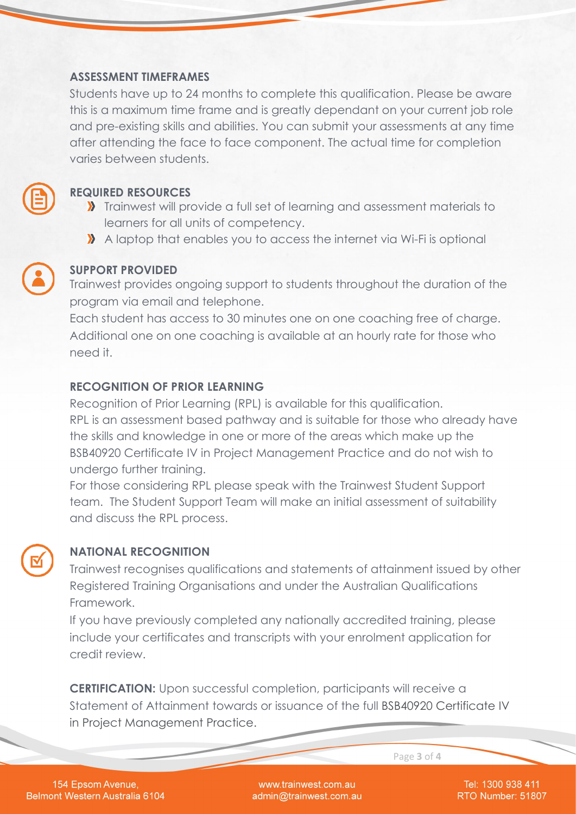#### **ASSESSMENT TIMEFRAMES**

Students have up to 24 months to complete this qualification. Please be aware this is a maximum time frame and is greatly dependant on your current job role and pre-existing skills and abilities. You can submit your assessments at any time after attending the face to face component. The actual time for completion varies between students.



#### **REQUIRED RESOURCES**

- **X** Trainwest will provide a full set of learning and assessment materials to learners for all units of competency.
- A laptop that enables you to access the internet via Wi-Fi is optional



#### **SUPPORT PROVIDED**

Trainwest provides ongoing support to students throughout the duration of the program via email and telephone.

Each student has access to 30 minutes one on one coaching free of charge. Additional one on one coaching is available at an hourly rate for those who need it.

#### **RECOGNITION OF PRIOR LEARNING**

Recognition of Prior Learning (RPL) is available for this qualification. RPL is an assessment based pathway and is suitable for those who already have the skills and knowledge in one or more of the areas which make up the BSB40920 Certificate IV in Project Management Practice and do not wish to undergo further training.

For those considering RPL please speak with the Trainwest Student Support team. The Student Support Team will make an initial assessment of suitability and discuss the RPL process.



#### **NATIONAL RECOGNITION**

Trainwest recognises qualifications and statements of attainment issued by other Registered Training Organisations and under the Australian Qualifications Framework.

If you have previously completed any nationally accredited training, please include your certificates and transcripts with your enrolment application for credit review.

**CERTIFICATION:** Upon successful completion, participants will receive a Statement of Attainment towards or issuance of the full BSB40920 Certificate IV in Project Management Practice.

154 Epsom Avenue, Belmont Western Australia 6104

www.trainwest.com.au admin@trainwest.com.au

Tel: 1300 938 411 RTO Number: 51807

Page **3** of **4**